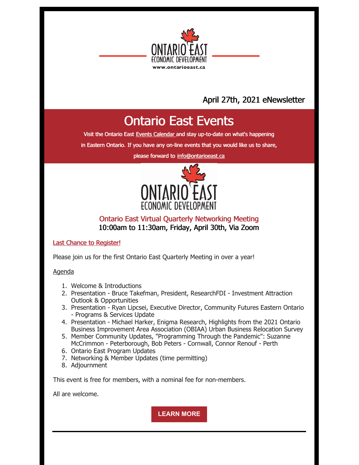

## April 27th, 2021 eNewsletter

# Ontario East Events

Visit the Ontario East Events [Calendar](https://ontarioeast.ca/events) and stay up-to-date on what's happening

in Eastern Ontario. If you have any on-line events that you would like us to share,

please forward to [info@ontarioeast.ca](mailto:info@ontarioeast.ca)



## Ontario East Virtual Quarterly Networking Meeting 10:00am to 11:30am, Friday, April 30th, Via Zoom

Last Chance to [Register!](https://www.eventbrite.ca/e/150788962847)

Please join us for the first Ontario East Quarterly Meeting in over a year!

Agenda

- 1. Welcome & Introductions
- 2. Presentation Bruce Takefman, President, ResearchFDI Investment Attraction Outlook & Opportunities
- 3. Presentation Ryan Lipcsei, Executive Director, Community Futures Eastern Ontario - Programs & Services Update
- 4. Presentation Michael Harker, Enigma Research, Highlights from the 2021 Ontario Business Improvement Area Association (OBIAA) Urban Business Relocation Survey
- 5. Member Community Updates, "Programming Through the Pandemic": Suzanne McCrimmon - Peterborough, Bob Peters - Cornwall, Connor Renouf - Perth
- 6. Ontario East Program Updates
- 7. Networking & Member Updates (time permitting)
- 8. Adjournment

This event is free for members, with a nominal fee for non-members.

All are welcome.

**[LEARN](https://ontarioeast.ca/events/ontario-east-virtual-quarterly-networking-meeting) MORE**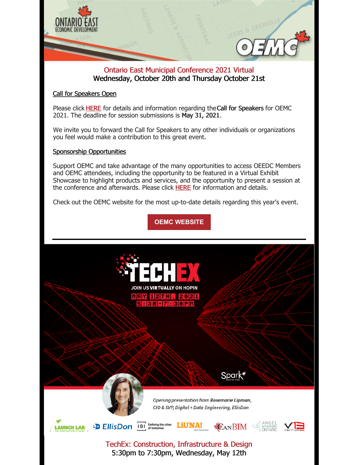

## Ontario East Municipal Conference 2021 Virtual Wednesday, October 20th and Thursday October 21st

### Call for Speakers Open

Please click [HERE](https://oemc.ca/call-for-speakers-2021/) for details and information regarding theCall for Speakers for OEMC 2021. The deadline for session submissions is May 31, 2021.

We invite you to forward the Call for Speakers to any other individuals or organizations you feel would make a contribution to this great event.

#### Sponsorship Opportunities

Support OEMC and take advantage of the many opportunities to access OEEDC Members and OEMC attendees, including the opportunity to be featured in a Virtual Exhibit Showcase to highlight products and services, and the opportunity to present a session at the conference and afterwards. Please click [HERE](https://oemc.ca/2021-sponsorship-opportunities/) for information and details.

Check out the OEMC website for the most up-to-date details regarding this year's event.

## **OEMC [WEBSITE](https://oemc.ca/)**

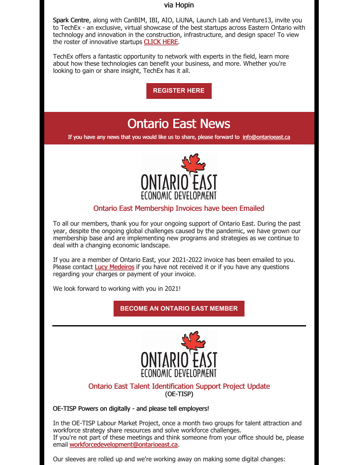#### via Hopin

Spark Centre, along with CanBIM, IBI, AIO, LiUNA, Launch Lab and Venture13, invite you to TechEx - an exclusive, virtual showcase of the best startups across Eastern Ontario with technology and innovation in the construction, infrastructure, and design space! To view the roster of innovative startups [CLICK](https://sparkcentre.org/techex-2021/) HERE.

TechEx offers a fantastic opportunity to network with experts in the field, learn more about how these technologies can benefit your business, and more. Whether you're looking to gain or share insight, TechEx has it all.

**[REGISTER](https://hopin.com/events/copy-of-techex-6278eda2-95b1-4984-b3fb-9808adcfd328?ref=56ef2b58c06b) HERE**

## Ontario East News

If you have any news that you would like us to share, please forward to [info@ontarioeast.ca](mailto:info@ontarioeast.ca)



## Ontario East Membership Invoices have been Emailed

To all our members, thank you for your ongoing support of Ontario East. During the past year, despite the ongoing global challenges caused by the pandemic, we have grown our membership base and are implementing new programs and strategies as we continue to deal with a changing economic landscape.

If you are a member of Ontario East, your 2021-2022 invoice has been emailed to you. Please contact **Lucy [Medeiros](mailto:lucy@ontarioeast.ca)** if you have not received it or if you have any questions regarding your charges or payment of your invoice.

We look forward to working with you in 2021!

## **BECOME AN [ONTARIO](https://ontarioeast.ca/become-member) EAST MEMBER**



#### Ontario East Talent Identification Support Project Update (OE-TISP)

#### OE-TISP Powers on digitally - and please tell employers!

In the OE-TISP Labour Market Project, once a month two groups for talent attraction and workforce strategy share resources and solve workforce challenges. If you're not part of these meetings and think someone from your office should be, please email [workforcedevelopment@ontarioeast.ca](mailto:workforcedevelopment@ontarioeast.ca).

Our sleeves are rolled up and we're working away on making some digital changes: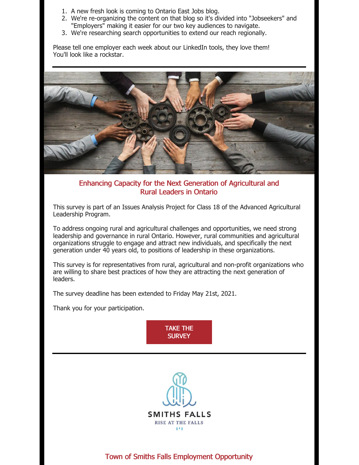- 1. A new fresh look is coming to Ontario East Jobs blog.
- 2. We're re-organizing the content on that blog so it's divided into "Jobseekers" and "Employers" making it easier for our two key audiences to navigate.
- 3. We're researching search opportunities to extend our reach regionally.

Please tell one employer each week about our LinkedIn tools, they love them! You'll look like a rockstar.



### Enhancing Capacity for the Next Generation of Agricultural and Rural Leaders in Ontario

This survey is part of an Issues Analysis Project for Class 18 of the Advanced Agricultural Leadership Program.

To address ongoing rural and agricultural challenges and opportunities, we need strong leadership and governance in rural Ontario. However, rural communities and agricultural organizations struggle to engage and attract new individuals, and specifically the next generation under 40 years old, to positions of leadership in these organizations.

This survey is for representatives from rural, agricultural and non-profit organizations who are willing to share best practices of how they are attracting the next generation of leaders.

The survey deadline has been extended to Friday May 21st, 2021.

Thank you for your participation.

TAKE THE **[SURVEY](https://www.surveymonkey.com/r/BSXQCKY)** 



## Town of Smiths Falls Employment Opportunity